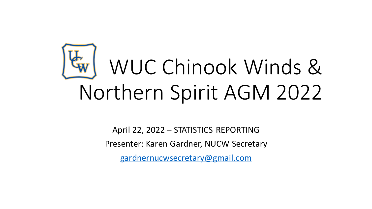# WUC Chinook Winds & Northern Spirit AGM 2022

April 22, 2022 – STATISTICS REPORTING Presenter: Karen Gardner, NUCW Secretary [gardnernucwsecretary@gmail.com](mailto:gardnernucwsecretary@gmail.com)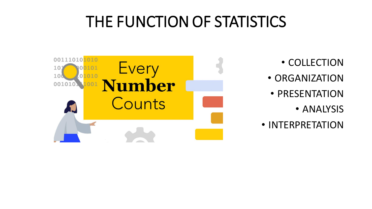#### THE FUNCTION OF STATISTICS



- COLLECTION
- ORGANIZATION
- PRESENTATION
	- ANALYSIS
- INTERPRETATION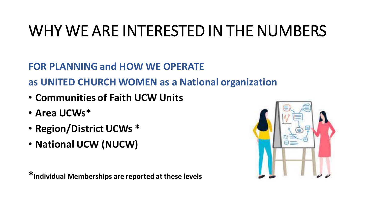#### WHY WE ARE INTERESTED IN THE NUMBERS

**FOR PLANNING and HOW WE OPERATE**

**as UNITED CHURCH WOMEN as a National organization**

- **Communities of Faith UCW Units**
- **Area UCWs\***
- **Region/District UCWs \***
- **National UCW (NUCW)**

**\*Individual Memberships are reported at these levels**

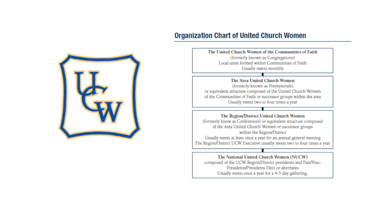#### **Organization Chart of United Church Women**



The United Church Women of the Communities of Faith (formerly known as Congregations) Local units formed within Communities of Faith Usually meets monthly

The Area United Church Women (formerly known as Presbyterials) or equivalent structure composed of the United Church Women of the Communities of Faith or successor groups within the area Usually meets two to four times a year

The Region/District United Church Women (formerly know as Conferences) or equivalent structure composed of the Area United Church Women or successor groups within the Region/District Usually meets at least once a year for an annual general meeting The Region/District UCW Executive usually meets two to four times a year

The National United Church Women (NUCW) composed of the UCW Region/District presidents and Past/Vice-Presidents/Presidents Elect or alternates Usually meets once a year for a 4-5 day gathering.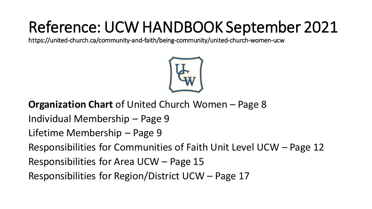## Reference: UCW HANDBOOK September 2021

https://united-church.ca/community-and-faith/being-community/united-church-women-ucw



#### **Organization Chart** of United Church Women – Page 8

Individual Membership – Page 9

Lifetime Membership – Page 9

Responsibilities for Communities of Faith Unit Level UCW – Page 12

Responsibilities for Area UCW – Page 15

Responsibilities for Region/District UCW – Page 17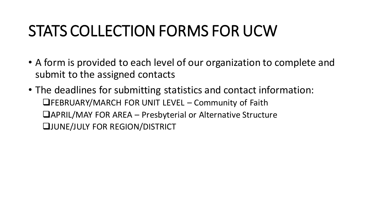#### STATS COLLECTION FORMS FOR UCW

- A form is provided to each level of our organization to complete and submit to the assigned contacts
- The deadlines for submitting statistics and contact information: ❑FEBRUARY/MARCH FOR UNIT LEVEL – Community of Faith ❑APRIL/MAY FOR AREA – Presbyterial or Alternative Structure ❑JUNE/JULY FOR REGION/DISTRICT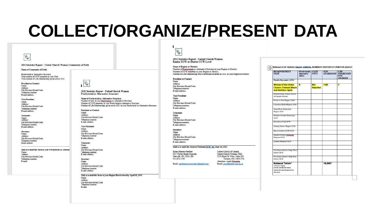#### **COLLECT/ORGANIZE/PRESENT DATA**

2021Statistics Report - United Church Women Community of Faith

Name of Community of Faith:

Ex

Presbyterial or Alternative Structure: Total number of UCW members in your Unit: Total number of Life Memberships given out in 2021:

**President or Contact** Name: Address: City/Province/Postal Code: Telephone number: E-mail address:

Vice-President Name: Address: City/Province/Postal Code: Telephone number: E-mail address:

Treasurer: Name: Address: City/Province/Postal Code: Telephone number: E-mail address:

Secretary Name: Address: City/Province/Postal Code: Telephone number: Email address:

Mail or e-mail this form to your Presbyterial or Alternat Name: Address City/Province/Postal Code: Telephone number: E-mail:

 $|\mathcal{A}^{\mathbf{m}}|$ 

2021 Statistics Report - United Church Women Presbyterial or Alternative Structure

Name of Presbyterial or Alternative Structure: Number of units in your Presbyterials or Alternative Structure: Number of UCW members in your Presbyterial or alternative Structure: Number of Life Memberships given out in 2021 in your Presbyterial or Alternative Structure:

**President or Contact** Name: Address: City/Province/Postal Code: Telephone number: E-mail address:

**Vice-President** Name: Address: City/Province/Postal Code: Telephone number: E-mail address:

Treasurer: Name: Address: City/Province/Postal Code: Telephone number: E-mail address:

Secretary Name: Address: City/Province/Postal Code: Telephone number: E-mail address:

Mail or e-mail this form to your Region/District level by April 30, 2022. Name: Address City/Province/Postal Code: Telephone number: E-mail:

**IKW** 

2021 Statistics Report - United Church Women **Region UCW or District UCW Level** 

**Name of Region or District:** Number of Presbyterials or Alternative Structure in your Region or District: Number of UCW members in your Region or District: Number of Life Membership Pins/Certificates awarded in 2021 in your Region or District:

**President or Contact** Name: Address: City/Province/Postal Code: Telephone number: E-mail address:

Vice-President Name: Address: City/Province/Postal Code: Telephone number: E-mail address:

Treasurer: Name: Address: City/Province/Postal Code: Telephone number: E-mail address:

Secretary Name: Address: City/Province/Postal Code: Telephone number: E-mail address:

Mail or e-mail this form to National UCW for June 30, 2022

Karen Hansen-Gardner 8357 Forest Green Crescent Metcalfe, ON, K0A 2P0 613-821-1780

United Church of Canada United Church Women, CIM 3250 Bloor St. West, Suite 200 Toronto, ON, M8X 2Y4 Attention: Angie Museuza.

Email: ucw@united-church.ca

Email: gardnemucwsecretary@gmail.com

National UCW Statistic Report\_ANNUAL NUMBERS REPORTS FORM FOR 2020/21

| RECOMPISTRICT<br><b>NAME</b>                                                                                    | #Presbyterials   # UCW<br>Alternative/<br><b>AREA</b> | <b>UNITS</b>                  | UCW<br><b>MEMBERSHIP</b> | LIFE.<br><b>MEMBERSHIP</b><br><b>PINS</b><br><b>AWARDED</b> |
|-----------------------------------------------------------------------------------------------------------------|-------------------------------------------------------|-------------------------------|--------------------------|-------------------------------------------------------------|
| Pacific Mountain UCW                                                                                            |                                                       |                               |                          |                                                             |
| <b>Women of the United</b><br><b>Church: Chinook Winds</b><br>and Northern Spirit                               | s                                                     | <b>Not</b><br><b>Reported</b> | 1145                     | 7                                                           |
| Saskatchewan United Church<br>of Canada Women                                                                   |                                                       |                               |                          |                                                             |
| Prairie to Pine Region UCW                                                                                      |                                                       |                               |                          |                                                             |
| Canadian Shield Region UCW                                                                                      |                                                       |                               |                          |                                                             |
| Antier River Watershed<br>Region UCW                                                                            |                                                       |                               |                          |                                                             |
| Western Ontario Waterways<br>UCW                                                                                |                                                       |                               |                          |                                                             |
| Horseshoe Falls UCW                                                                                             |                                                       |                               |                          |                                                             |
| Shining Waters Region UCW                                                                                       |                                                       |                               |                          |                                                             |
| Bay of Quinte ECOR UCW                                                                                          |                                                       |                               |                          |                                                             |
| Eastern Ontario Quigquais<br>Regional UCW                                                                       |                                                       |                               |                          |                                                             |
| Quebec Regional UCW                                                                                             |                                                       |                               |                          |                                                             |
| First Dawn Eastern Edge West<br><b>District UCW</b>                                                             |                                                       |                               |                          |                                                             |
| First Dawn Eastern Edge East<br>District UCW                                                                    |                                                       |                               |                          |                                                             |
| National Totals*<br>*Assume higher<br><b>Covid Limitations have</b><br>impacted reporting/activity<br>this year |                                                       |                               | 16,685*                  |                                                             |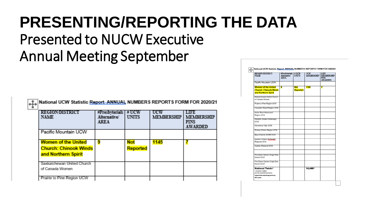## **PRESENTING/REPORTING THE DATA**

#### Presented to NUCW Executive Annual Meeting September

|   |  |  | <u>.†.</u> National UCW Statistic <u>Report, ANNUAL</u> NUMBERS REPORTS FORM FOR 2020/21 |  |  |
|---|--|--|------------------------------------------------------------------------------------------|--|--|
| T |  |  |                                                                                          |  |  |

| RECOMBENES CH<br><b>NAME</b>                                                      | #Presbyterials<br>Alternative/<br><b>AREA</b> | #UCW<br><b>UNITS</b>          | <b>UCW</b><br><b>MEMBERSHIP</b> | <b>MEMBERSHIP</b><br><b>FINS</b><br><b>AWARDED</b> |
|-----------------------------------------------------------------------------------|-----------------------------------------------|-------------------------------|---------------------------------|----------------------------------------------------|
| Pacific Mountain UCW                                                              |                                               |                               |                                 |                                                    |
| <b>Women of the United</b><br><b>Church: Chinook Winds</b><br>and Northern Spirit | 9                                             | <b>Not</b><br><b>Reported</b> | 1145                            |                                                    |
| Saskatchewan United Church<br>of Canada Women<br>Prairie to Pine Region UCW       |                                               |                               |                                 |                                                    |

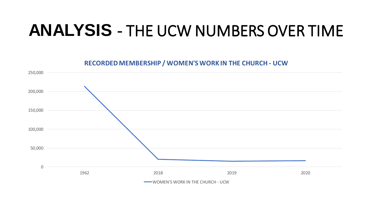#### **ANALYSIS** - THE UCW NUMBERS OVER TIME



**RECORDED MEMBERSHIP / WOMEN'S WORK IN THE CHURCH - UCW**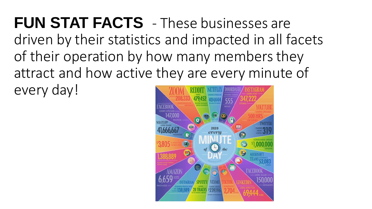**FUN STAT FACTS** - These businesses are driven by their statistics and impacted in all facets of their operation by how many members they attract and how active they are every minute of every day!

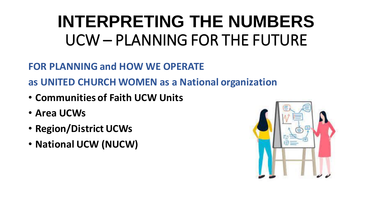## **INTERPRETING THE NUMBERS**  UCW – PLANNING FOR THE FUTURE

**FOR PLANNING and HOW WE OPERATE**

**as UNITED CHURCH WOMEN as a National organization**

- **Communities of Faith UCW Units**
- **Area UCWs**
- **Region/District UCWs**
- **National UCW (NUCW)**